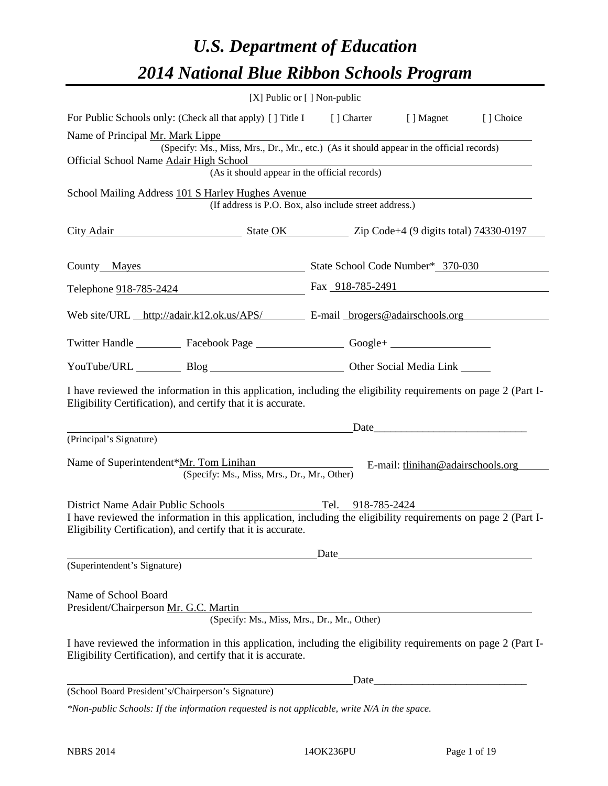## *U.S. Department of Education 2014 National Blue Ribbon Schools Program*

|                                                                                                                                                                                | [X] Public or [] Non-public |                                                                                                                                                                                                                                |           |
|--------------------------------------------------------------------------------------------------------------------------------------------------------------------------------|-----------------------------|--------------------------------------------------------------------------------------------------------------------------------------------------------------------------------------------------------------------------------|-----------|
| For Public Schools only: (Check all that apply) [] Title I [] Charter [] Magnet                                                                                                |                             |                                                                                                                                                                                                                                | [] Choice |
| Name of Principal Mr. Mark Lippe                                                                                                                                               |                             |                                                                                                                                                                                                                                |           |
| (Specify: Ms., Miss, Mrs., Dr., Mr., etc.) (As it should appear in the official records)<br>Official School Name Adair High School                                             |                             |                                                                                                                                                                                                                                |           |
| (As it should appear in the official records)                                                                                                                                  |                             |                                                                                                                                                                                                                                |           |
| School Mailing Address 101 S Harley Hughes Avenue<br>(If address is P.O. Box, also include street address.)                                                                    |                             |                                                                                                                                                                                                                                |           |
| City Adair State OK Zip Code+4 (9 digits total) 74330-0197                                                                                                                     |                             |                                                                                                                                                                                                                                |           |
| County Mayes State School Code Number* 370-030                                                                                                                                 |                             |                                                                                                                                                                                                                                |           |
| Telephone 918-785-2424 Fax 918-785-2491                                                                                                                                        |                             |                                                                                                                                                                                                                                |           |
| Web site/URL http://adair.k12.ok.us/APS/ E-mail brogers@adairschools.org                                                                                                       |                             |                                                                                                                                                                                                                                |           |
| Twitter Handle ___________ Facebook Page ___________________ Google+ ____________                                                                                              |                             |                                                                                                                                                                                                                                |           |
| YouTube/URL Blog Blog Cher Social Media Link                                                                                                                                   |                             |                                                                                                                                                                                                                                |           |
| I have reviewed the information in this application, including the eligibility requirements on page 2 (Part I-<br>Eligibility Certification), and certify that it is accurate. |                             |                                                                                                                                                                                                                                |           |
| <u> 1989 - Johann Barnett, fransk politik (d. 1989)</u>                                                                                                                        |                             | Date has a series of the series of the series of the series of the series of the series of the series of the series of the series of the series of the series of the series of the series of the series of the series of the s |           |
| (Principal's Signature)                                                                                                                                                        |                             |                                                                                                                                                                                                                                |           |
| Name of Superintendent*Mr. Tom Linihan<br>(Specify: Ms., Miss, Mrs., Dr., Mr., Other)                                                                                          |                             | E-mail: thin in @ adairs chools.org                                                                                                                                                                                            |           |
| District Name Adair Public Schools                                                                                                                                             |                             | Tel. 918-785-2424                                                                                                                                                                                                              |           |
| I have reviewed the information in this application, including the eligibility requirements on page 2 (Part I-<br>Eligibility Certification), and certify that it is accurate. |                             |                                                                                                                                                                                                                                |           |
|                                                                                                                                                                                |                             | Date and the same state of the same state of the same state of the same state of the same state of the same state of the same state of the same state of the same state of the same state of the same state of the same state  |           |
| (Superintendent's Signature)                                                                                                                                                   |                             |                                                                                                                                                                                                                                |           |
| Name of School Board<br>President/Chairperson Mr. G.C. Martin<br>(Specify: Ms., Miss, Mrs., Dr., Mr., Other)                                                                   |                             |                                                                                                                                                                                                                                |           |
|                                                                                                                                                                                |                             |                                                                                                                                                                                                                                |           |
| I have reviewed the information in this application, including the eligibility requirements on page 2 (Part I-<br>Eligibility Certification), and certify that it is accurate. |                             |                                                                                                                                                                                                                                |           |
|                                                                                                                                                                                |                             |                                                                                                                                                                                                                                |           |
| (School Board President's/Chairperson's Signature)                                                                                                                             |                             |                                                                                                                                                                                                                                |           |

*\*Non-public Schools: If the information requested is not applicable, write N/A in the space.*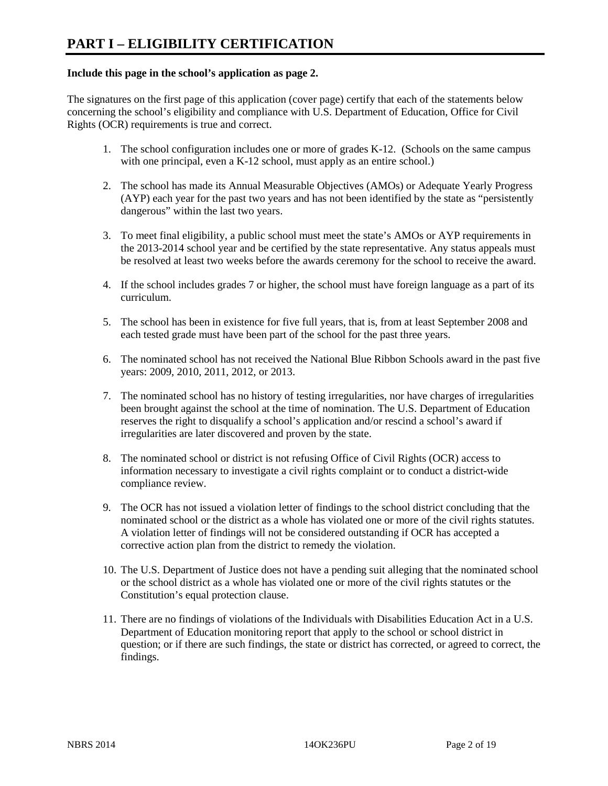#### **Include this page in the school's application as page 2.**

The signatures on the first page of this application (cover page) certify that each of the statements below concerning the school's eligibility and compliance with U.S. Department of Education, Office for Civil Rights (OCR) requirements is true and correct.

- 1. The school configuration includes one or more of grades K-12. (Schools on the same campus with one principal, even a K-12 school, must apply as an entire school.)
- 2. The school has made its Annual Measurable Objectives (AMOs) or Adequate Yearly Progress (AYP) each year for the past two years and has not been identified by the state as "persistently dangerous" within the last two years.
- 3. To meet final eligibility, a public school must meet the state's AMOs or AYP requirements in the 2013-2014 school year and be certified by the state representative. Any status appeals must be resolved at least two weeks before the awards ceremony for the school to receive the award.
- 4. If the school includes grades 7 or higher, the school must have foreign language as a part of its curriculum.
- 5. The school has been in existence for five full years, that is, from at least September 2008 and each tested grade must have been part of the school for the past three years.
- 6. The nominated school has not received the National Blue Ribbon Schools award in the past five years: 2009, 2010, 2011, 2012, or 2013.
- 7. The nominated school has no history of testing irregularities, nor have charges of irregularities been brought against the school at the time of nomination. The U.S. Department of Education reserves the right to disqualify a school's application and/or rescind a school's award if irregularities are later discovered and proven by the state.
- 8. The nominated school or district is not refusing Office of Civil Rights (OCR) access to information necessary to investigate a civil rights complaint or to conduct a district-wide compliance review.
- 9. The OCR has not issued a violation letter of findings to the school district concluding that the nominated school or the district as a whole has violated one or more of the civil rights statutes. A violation letter of findings will not be considered outstanding if OCR has accepted a corrective action plan from the district to remedy the violation.
- 10. The U.S. Department of Justice does not have a pending suit alleging that the nominated school or the school district as a whole has violated one or more of the civil rights statutes or the Constitution's equal protection clause.
- 11. There are no findings of violations of the Individuals with Disabilities Education Act in a U.S. Department of Education monitoring report that apply to the school or school district in question; or if there are such findings, the state or district has corrected, or agreed to correct, the findings.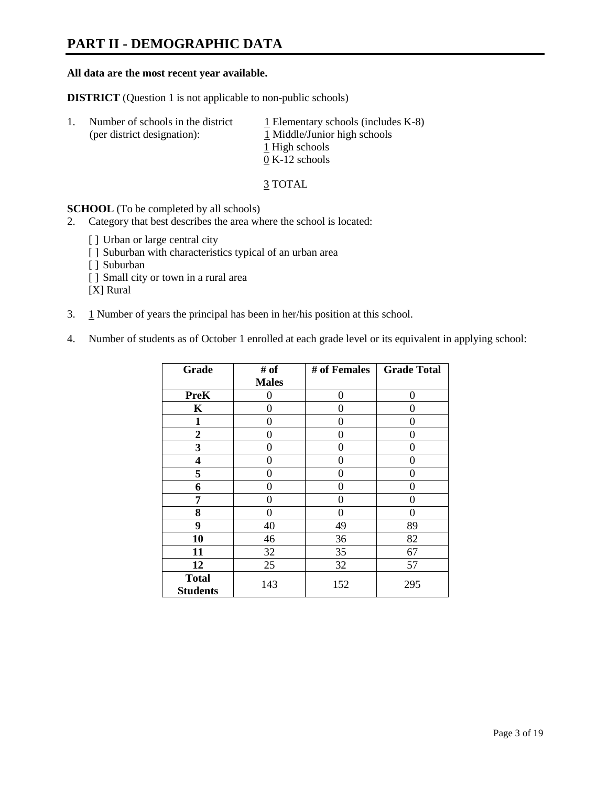### **PART II - DEMOGRAPHIC DATA**

#### **All data are the most recent year available.**

**DISTRICT** (Question 1 is not applicable to non-public schools)

| 1. | Number of schools in the district<br>(per district designation): | $\perp$ Elementary schools (includes K-8)<br>1 Middle/Junior high schools<br>1 High schools<br>$0 K-12$ schools |
|----|------------------------------------------------------------------|-----------------------------------------------------------------------------------------------------------------|
|    |                                                                  |                                                                                                                 |

3 TOTAL

**SCHOOL** (To be completed by all schools)

- 2. Category that best describes the area where the school is located:
	- [] Urban or large central city
	- [ ] Suburban with characteristics typical of an urban area
	- [ ] Suburban
	- [ ] Small city or town in a rural area

[X] Rural

- 3. 1 Number of years the principal has been in her/his position at this school.
- 4. Number of students as of October 1 enrolled at each grade level or its equivalent in applying school:

| Grade                           | # of         | # of Females | <b>Grade Total</b> |
|---------------------------------|--------------|--------------|--------------------|
|                                 | <b>Males</b> |              |                    |
| <b>PreK</b>                     | 0            | 0            | $\Omega$           |
| K                               | 0            | 0            | 0                  |
| $\mathbf{1}$                    | 0            | 0            | 0                  |
| $\overline{2}$                  | 0            | 0            | 0                  |
| 3                               | 0            | 0            | 0                  |
| 4                               | 0            | 0            | 0                  |
| 5                               | 0            | 0            | 0                  |
| 6                               | 0            | 0            | 0                  |
| 7                               | 0            | 0            | 0                  |
| 8                               | 0            | 0            | 0                  |
| 9                               | 40           | 49           | 89                 |
| 10                              | 46           | 36           | 82                 |
| 11                              | 32           | 35           | 67                 |
| 12                              | 25           | 32           | 57                 |
| <b>Total</b><br><b>Students</b> | 143          | 152          | 295                |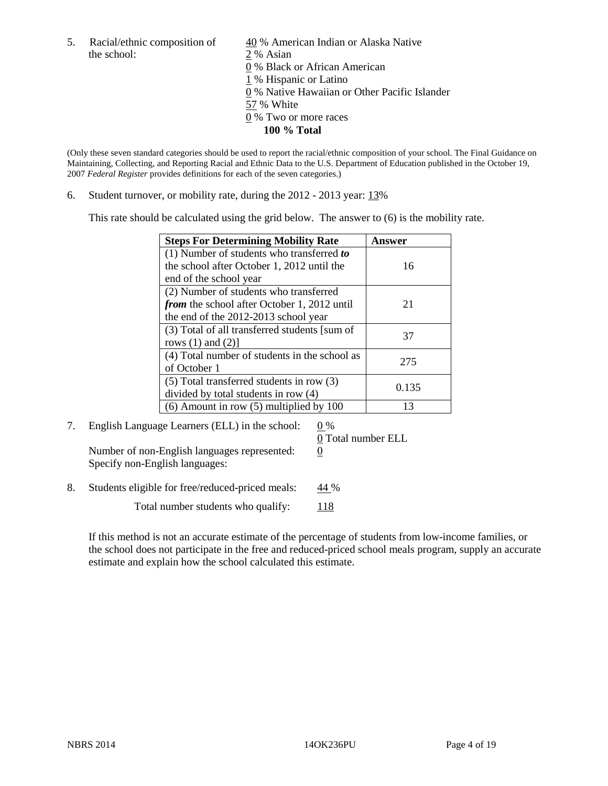the school: 2 % Asian

5. Racial/ethnic composition of  $\frac{40}{9}$ % American Indian or Alaska Native 0 % Black or African American 1 % Hispanic or Latino 0 % Native Hawaiian or Other Pacific Islander 57 % White 0 % Two or more races **100 % Total**

(Only these seven standard categories should be used to report the racial/ethnic composition of your school. The Final Guidance on Maintaining, Collecting, and Reporting Racial and Ethnic Data to the U.S. Department of Education published in the October 19, 2007 *Federal Register* provides definitions for each of the seven categories.)

6. Student turnover, or mobility rate, during the 2012 - 2013 year: 13%

This rate should be calculated using the grid below. The answer to (6) is the mobility rate.

| <b>Steps For Determining Mobility Rate</b>         | <b>Answer</b> |
|----------------------------------------------------|---------------|
| (1) Number of students who transferred to          |               |
| the school after October 1, 2012 until the         | 16            |
| end of the school year                             |               |
| (2) Number of students who transferred             |               |
| <i>from</i> the school after October 1, 2012 until | 21            |
| the end of the 2012-2013 school year               |               |
| (3) Total of all transferred students [sum of      | 37            |
| rows $(1)$ and $(2)$ ]                             |               |
| (4) Total number of students in the school as      | 275           |
| of October 1                                       |               |
| $(5)$ Total transferred students in row $(3)$      | 0.135         |
| divided by total students in row (4)               |               |
| $(6)$ Amount in row $(5)$ multiplied by 100        | 13            |

7. English Language Learners (ELL) in the school:  $0\%$ Number of non-English languages represented:  $0$ Specify non-English languages:

0 Total number ELL

8. Students eligible for free/reduced-priced meals:  $44\%$ 

Total number students who qualify:  $118$ 

If this method is not an accurate estimate of the percentage of students from low-income families, or the school does not participate in the free and reduced-priced school meals program, supply an accurate estimate and explain how the school calculated this estimate.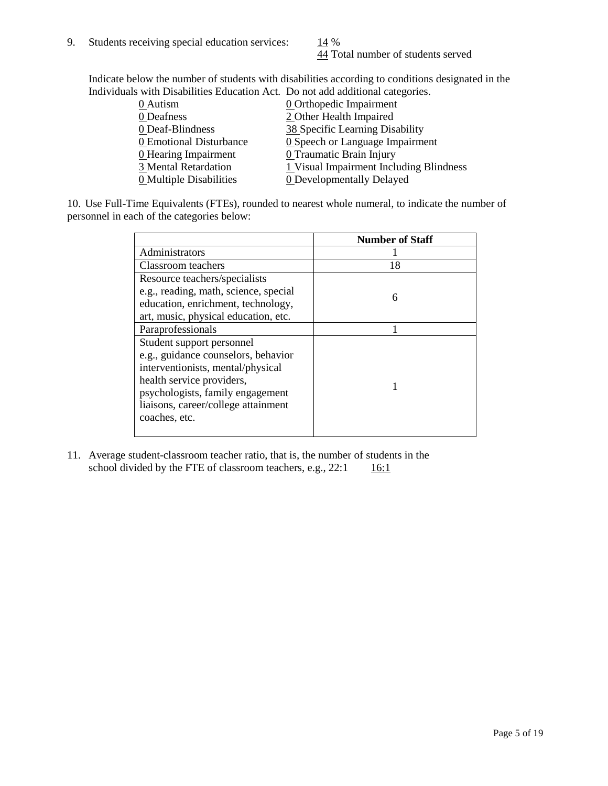44 Total number of students served

Indicate below the number of students with disabilities according to conditions designated in the Individuals with Disabilities Education Act. Do not add additional categories.

|                                | $\alpha$ with Bibaonities Education Fiet. By not add additional ealegones. |
|--------------------------------|----------------------------------------------------------------------------|
| $0$ Autism                     | <b>0</b> Orthopedic Impairment                                             |
| 0 Deafness                     | 2 Other Health Impaired                                                    |
| 0 Deaf-Blindness               | 38 Specific Learning Disability                                            |
| 0 Emotional Disturbance        | <b>0</b> Speech or Language Impairment                                     |
| 0 Hearing Impairment           | 0 Traumatic Brain Injury                                                   |
| 3 Mental Retardation           | 1 Visual Impairment Including Blindness                                    |
| <b>0</b> Multiple Disabilities | <b>0</b> Developmentally Delayed                                           |
|                                |                                                                            |

10. Use Full-Time Equivalents (FTEs), rounded to nearest whole numeral, to indicate the number of personnel in each of the categories below:

|                                       | <b>Number of Staff</b> |
|---------------------------------------|------------------------|
| Administrators                        |                        |
| Classroom teachers                    | 18                     |
| Resource teachers/specialists         |                        |
| e.g., reading, math, science, special | 6                      |
| education, enrichment, technology,    |                        |
| art, music, physical education, etc.  |                        |
| Paraprofessionals                     |                        |
| Student support personnel             |                        |
| e.g., guidance counselors, behavior   |                        |
| interventionists, mental/physical     |                        |
| health service providers,             |                        |
| psychologists, family engagement      |                        |
| liaisons, career/college attainment   |                        |
| coaches, etc.                         |                        |
|                                       |                        |

11. Average student-classroom teacher ratio, that is, the number of students in the school divided by the FTE of classroom teachers, e.g.,  $22:1$  16:1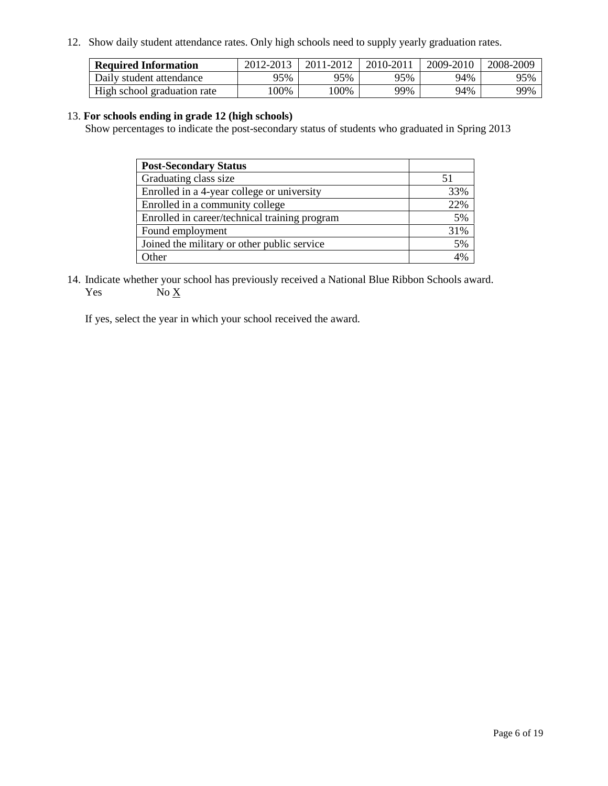12. Show daily student attendance rates. Only high schools need to supply yearly graduation rates.

| <b>Required Information</b> | 2012-2013 | 2011-2012 | 2010-2011 | 2009-2010 | 2008-2009 |
|-----------------------------|-----------|-----------|-----------|-----------|-----------|
| Daily student attendance    | 95%       | 95%       | 95%       | 94%       | 95%       |
| High school graduation rate | 00%       | 00%       | 99%       | 94%       | 99%       |

#### 13. **For schools ending in grade 12 (high schools)**

Show percentages to indicate the post-secondary status of students who graduated in Spring 2013

| <b>Post-Secondary Status</b>                  |     |
|-----------------------------------------------|-----|
| Graduating class size                         |     |
| Enrolled in a 4-year college or university    | 33% |
| Enrolled in a community college               | 22% |
| Enrolled in career/technical training program | 5%  |
| Found employment                              | 31% |
| Joined the military or other public service   | 5%  |
| . Other                                       | 4%  |

14. Indicate whether your school has previously received a National Blue Ribbon Schools award. Yes  $No X$ 

If yes, select the year in which your school received the award.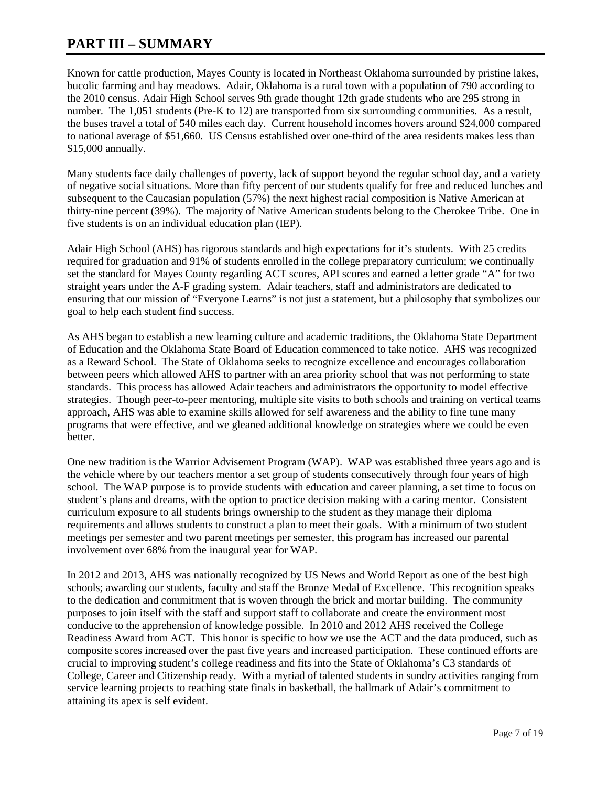### **PART III – SUMMARY**

Known for cattle production, Mayes County is located in Northeast Oklahoma surrounded by pristine lakes, bucolic farming and hay meadows. Adair, Oklahoma is a rural town with a population of 790 according to the 2010 census. Adair High School serves 9th grade thought 12th grade students who are 295 strong in number. The 1,051 students (Pre-K to 12) are transported from six surrounding communities. As a result, the buses travel a total of 540 miles each day. Current household incomes hovers around \$24,000 compared to national average of \$51,660. US Census established over one-third of the area residents makes less than \$15,000 annually.

Many students face daily challenges of poverty, lack of support beyond the regular school day, and a variety of negative social situations. More than fifty percent of our students qualify for free and reduced lunches and subsequent to the Caucasian population (57%) the next highest racial composition is Native American at thirty-nine percent (39%). The majority of Native American students belong to the Cherokee Tribe. One in five students is on an individual education plan (IEP).

Adair High School (AHS) has rigorous standards and high expectations for it's students. With 25 credits required for graduation and 91% of students enrolled in the college preparatory curriculum; we continually set the standard for Mayes County regarding ACT scores, API scores and earned a letter grade "A" for two straight years under the A-F grading system. Adair teachers, staff and administrators are dedicated to ensuring that our mission of "Everyone Learns" is not just a statement, but a philosophy that symbolizes our goal to help each student find success.

As AHS began to establish a new learning culture and academic traditions, the Oklahoma State Department of Education and the Oklahoma State Board of Education commenced to take notice. AHS was recognized as a Reward School. The State of Oklahoma seeks to recognize excellence and encourages collaboration between peers which allowed AHS to partner with an area priority school that was not performing to state standards. This process has allowed Adair teachers and administrators the opportunity to model effective strategies. Though peer-to-peer mentoring, multiple site visits to both schools and training on vertical teams approach, AHS was able to examine skills allowed for self awareness and the ability to fine tune many programs that were effective, and we gleaned additional knowledge on strategies where we could be even better.

One new tradition is the Warrior Advisement Program (WAP). WAP was established three years ago and is the vehicle where by our teachers mentor a set group of students consecutively through four years of high school. The WAP purpose is to provide students with education and career planning, a set time to focus on student's plans and dreams, with the option to practice decision making with a caring mentor. Consistent curriculum exposure to all students brings ownership to the student as they manage their diploma requirements and allows students to construct a plan to meet their goals. With a minimum of two student meetings per semester and two parent meetings per semester, this program has increased our parental involvement over 68% from the inaugural year for WAP.

In 2012 and 2013, AHS was nationally recognized by US News and World Report as one of the best high schools; awarding our students, faculty and staff the Bronze Medal of Excellence. This recognition speaks to the dedication and commitment that is woven through the brick and mortar building. The community purposes to join itself with the staff and support staff to collaborate and create the environment most conducive to the apprehension of knowledge possible. In 2010 and 2012 AHS received the College Readiness Award from ACT. This honor is specific to how we use the ACT and the data produced, such as composite scores increased over the past five years and increased participation. These continued efforts are crucial to improving student's college readiness and fits into the State of Oklahoma's C3 standards of College, Career and Citizenship ready. With a myriad of talented students in sundry activities ranging from service learning projects to reaching state finals in basketball, the hallmark of Adair's commitment to attaining its apex is self evident.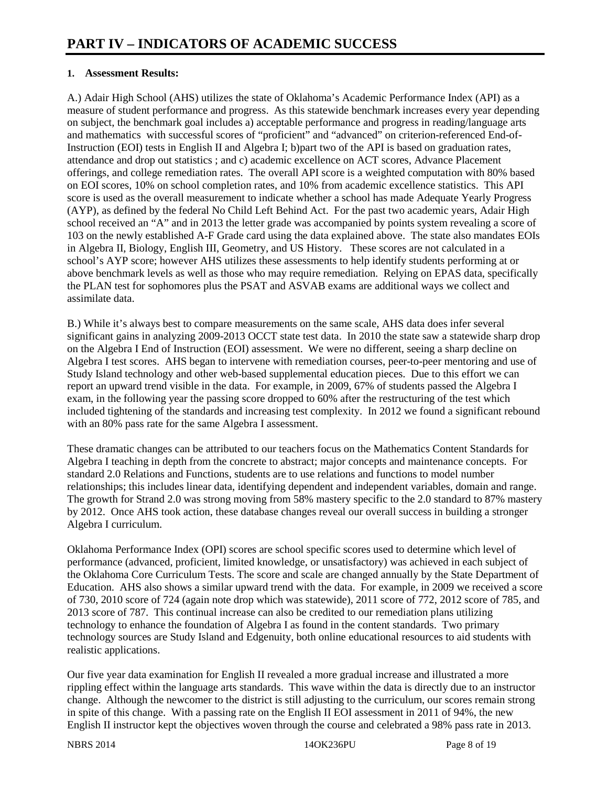#### **1. Assessment Results:**

A.) Adair High School (AHS) utilizes the state of Oklahoma's Academic Performance Index (API) as a measure of student performance and progress. As this statewide benchmark increases every year depending on subject, the benchmark goal includes a) acceptable performance and progress in reading/language arts and mathematics with successful scores of "proficient" and "advanced" on criterion-referenced End-of-Instruction (EOI) tests in English II and Algebra I; b)part two of the API is based on graduation rates, attendance and drop out statistics ; and c) academic excellence on ACT scores, Advance Placement offerings, and college remediation rates. The overall API score is a weighted computation with 80% based on EOI scores, 10% on school completion rates, and 10% from academic excellence statistics. This API score is used as the overall measurement to indicate whether a school has made Adequate Yearly Progress (AYP), as defined by the federal No Child Left Behind Act. For the past two academic years, Adair High school received an "A" and in 2013 the letter grade was accompanied by points system revealing a score of 103 on the newly established A-F Grade card using the data explained above. The state also mandates EOIs in Algebra II, Biology, English III, Geometry, and US History. These scores are not calculated in a school's AYP score; however AHS utilizes these assessments to help identify students performing at or above benchmark levels as well as those who may require remediation. Relying on EPAS data, specifically the PLAN test for sophomores plus the PSAT and ASVAB exams are additional ways we collect and assimilate data.

B.) While it's always best to compare measurements on the same scale, AHS data does infer several significant gains in analyzing 2009-2013 OCCT state test data. In 2010 the state saw a statewide sharp drop on the Algebra I End of Instruction (EOI) assessment. We were no different, seeing a sharp decline on Algebra I test scores. AHS began to intervene with remediation courses, peer-to-peer mentoring and use of Study Island technology and other web-based supplemental education pieces. Due to this effort we can report an upward trend visible in the data. For example, in 2009, 67% of students passed the Algebra I exam, in the following year the passing score dropped to 60% after the restructuring of the test which included tightening of the standards and increasing test complexity. In 2012 we found a significant rebound with an 80% pass rate for the same Algebra I assessment.

These dramatic changes can be attributed to our teachers focus on the Mathematics Content Standards for Algebra I teaching in depth from the concrete to abstract; major concepts and maintenance concepts. For standard 2.0 Relations and Functions, students are to use relations and functions to model number relationships; this includes linear data, identifying dependent and independent variables, domain and range. The growth for Strand 2.0 was strong moving from 58% mastery specific to the 2.0 standard to 87% mastery by 2012. Once AHS took action, these database changes reveal our overall success in building a stronger Algebra I curriculum.

Oklahoma Performance Index (OPI) scores are school specific scores used to determine which level of performance (advanced, proficient, limited knowledge, or unsatisfactory) was achieved in each subject of the Oklahoma Core Curriculum Tests. The score and scale are changed annually by the State Department of Education. AHS also shows a similar upward trend with the data. For example, in 2009 we received a score of 730, 2010 score of 724 (again note drop which was statewide), 2011 score of 772, 2012 score of 785, and 2013 score of 787. This continual increase can also be credited to our remediation plans utilizing technology to enhance the foundation of Algebra I as found in the content standards. Two primary technology sources are Study Island and Edgenuity, both online educational resources to aid students with realistic applications.

Our five year data examination for English II revealed a more gradual increase and illustrated a more rippling effect within the language arts standards. This wave within the data is directly due to an instructor change. Although the newcomer to the district is still adjusting to the curriculum, our scores remain strong in spite of this change. With a passing rate on the English II EOI assessment in 2011 of 94%, the new English II instructor kept the objectives woven through the course and celebrated a 98% pass rate in 2013.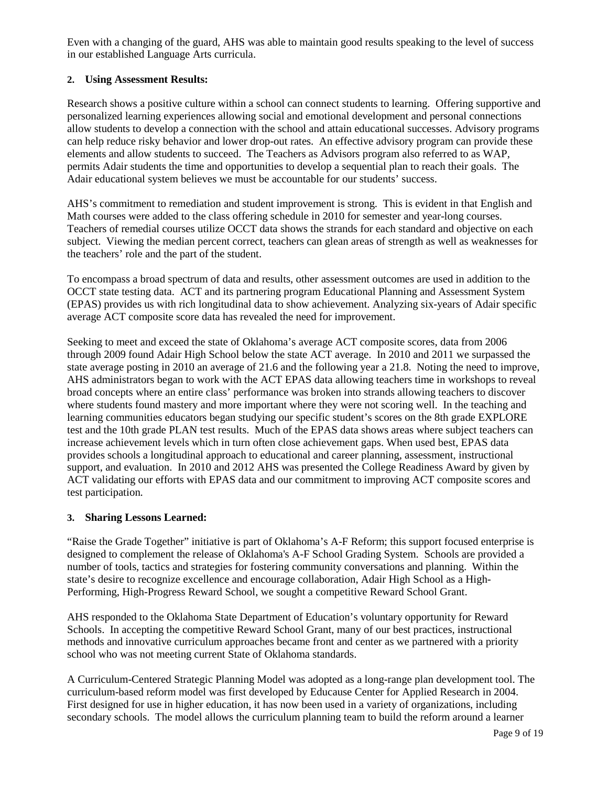Even with a changing of the guard, AHS was able to maintain good results speaking to the level of success in our established Language Arts curricula.

#### **2. Using Assessment Results:**

Research shows a positive culture within a school can connect students to learning. Offering supportive and personalized learning experiences allowing social and emotional development and personal connections allow students to develop a connection with the school and attain educational successes. Advisory programs can help reduce risky behavior and lower drop-out rates. An effective advisory program can provide these elements and allow students to succeed. The Teachers as Advisors program also referred to as WAP, permits Adair students the time and opportunities to develop a sequential plan to reach their goals. The Adair educational system believes we must be accountable for our students' success.

AHS's commitment to remediation and student improvement is strong. This is evident in that English and Math courses were added to the class offering schedule in 2010 for semester and year-long courses. Teachers of remedial courses utilize OCCT data shows the strands for each standard and objective on each subject. Viewing the median percent correct, teachers can glean areas of strength as well as weaknesses for the teachers' role and the part of the student.

To encompass a broad spectrum of data and results, other assessment outcomes are used in addition to the OCCT state testing data. ACT and its partnering program Educational Planning and Assessment System (EPAS) provides us with rich longitudinal data to show achievement. Analyzing six-years of Adair specific average ACT composite score data has revealed the need for improvement.

Seeking to meet and exceed the state of Oklahoma's average ACT composite scores, data from 2006 through 2009 found Adair High School below the state ACT average. In 2010 and 2011 we surpassed the state average posting in 2010 an average of 21.6 and the following year a 21.8. Noting the need to improve, AHS administrators began to work with the ACT EPAS data allowing teachers time in workshops to reveal broad concepts where an entire class' performance was broken into strands allowing teachers to discover where students found mastery and more important where they were not scoring well. In the teaching and learning communities educators began studying our specific student's scores on the 8th grade EXPLORE test and the 10th grade PLAN test results. Much of the EPAS data shows areas where subject teachers can increase achievement levels which in turn often close achievement gaps. When used best, EPAS data provides schools a longitudinal approach to educational and career planning, assessment, instructional support, and evaluation. In 2010 and 2012 AHS was presented the College Readiness Award by given by ACT validating our efforts with EPAS data and our commitment to improving ACT composite scores and test participation.

#### **3. Sharing Lessons Learned:**

"Raise the Grade Together" initiative is part of Oklahoma's A-F Reform; this support focused enterprise is designed to complement the release of Oklahoma's A-F School Grading System. Schools are provided a number of tools, tactics and strategies for fostering community conversations and planning. Within the state's desire to recognize excellence and encourage collaboration, Adair High School as a High-Performing, High-Progress Reward School, we sought a competitive Reward School Grant.

AHS responded to the Oklahoma State Department of Education's voluntary opportunity for Reward Schools. In accepting the competitive Reward School Grant, many of our best practices, instructional methods and innovative curriculum approaches became front and center as we partnered with a priority school who was not meeting current State of Oklahoma standards.

A Curriculum-Centered Strategic Planning Model was adopted as a long-range plan development tool. The curriculum-based reform model was first developed by Educause Center for Applied Research in 2004. First designed for use in higher education, it has now been used in a variety of organizations, including secondary schools. The model allows the curriculum planning team to build the reform around a learner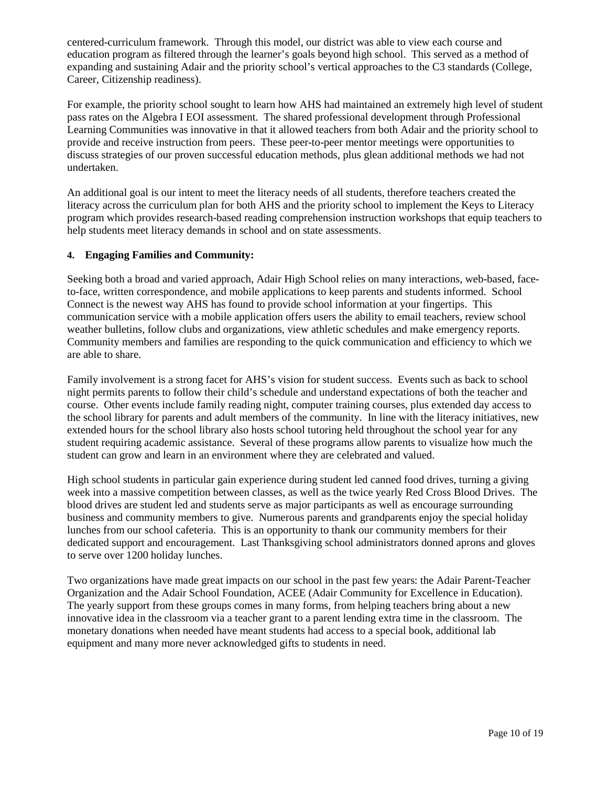centered-curriculum framework. Through this model, our district was able to view each course and education program as filtered through the learner's goals beyond high school. This served as a method of expanding and sustaining Adair and the priority school's vertical approaches to the C3 standards (College, Career, Citizenship readiness).

For example, the priority school sought to learn how AHS had maintained an extremely high level of student pass rates on the Algebra I EOI assessment. The shared professional development through Professional Learning Communities was innovative in that it allowed teachers from both Adair and the priority school to provide and receive instruction from peers. These peer-to-peer mentor meetings were opportunities to discuss strategies of our proven successful education methods, plus glean additional methods we had not undertaken.

An additional goal is our intent to meet the literacy needs of all students, therefore teachers created the literacy across the curriculum plan for both AHS and the priority school to implement the Keys to Literacy program which provides research-based reading comprehension instruction workshops that equip teachers to help students meet literacy demands in school and on state assessments.

#### **4. Engaging Families and Community:**

Seeking both a broad and varied approach, Adair High School relies on many interactions, web-based, faceto-face, written correspondence, and mobile applications to keep parents and students informed. School Connect is the newest way AHS has found to provide school information at your fingertips. This communication service with a mobile application offers users the ability to email teachers, review school weather bulletins, follow clubs and organizations, view athletic schedules and make emergency reports. Community members and families are responding to the quick communication and efficiency to which we are able to share.

Family involvement is a strong facet for AHS's vision for student success. Events such as back to school night permits parents to follow their child's schedule and understand expectations of both the teacher and course. Other events include family reading night, computer training courses, plus extended day access to the school library for parents and adult members of the community. In line with the literacy initiatives, new extended hours for the school library also hosts school tutoring held throughout the school year for any student requiring academic assistance. Several of these programs allow parents to visualize how much the student can grow and learn in an environment where they are celebrated and valued.

High school students in particular gain experience during student led canned food drives, turning a giving week into a massive competition between classes, as well as the twice yearly Red Cross Blood Drives. The blood drives are student led and students serve as major participants as well as encourage surrounding business and community members to give. Numerous parents and grandparents enjoy the special holiday lunches from our school cafeteria. This is an opportunity to thank our community members for their dedicated support and encouragement. Last Thanksgiving school administrators donned aprons and gloves to serve over 1200 holiday lunches.

Two organizations have made great impacts on our school in the past few years: the Adair Parent-Teacher Organization and the Adair School Foundation, ACEE (Adair Community for Excellence in Education). The yearly support from these groups comes in many forms, from helping teachers bring about a new innovative idea in the classroom via a teacher grant to a parent lending extra time in the classroom. The monetary donations when needed have meant students had access to a special book, additional lab equipment and many more never acknowledged gifts to students in need.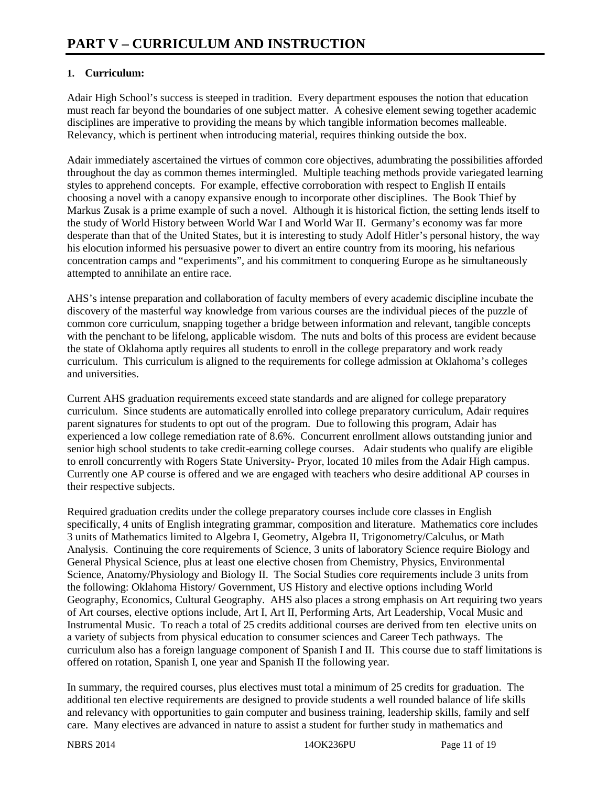#### **1. Curriculum:**

Adair High School's success is steeped in tradition. Every department espouses the notion that education must reach far beyond the boundaries of one subject matter. A cohesive element sewing together academic disciplines are imperative to providing the means by which tangible information becomes malleable. Relevancy, which is pertinent when introducing material, requires thinking outside the box.

Adair immediately ascertained the virtues of common core objectives, adumbrating the possibilities afforded throughout the day as common themes intermingled. Multiple teaching methods provide variegated learning styles to apprehend concepts. For example, effective corroboration with respect to English II entails choosing a novel with a canopy expansive enough to incorporate other disciplines. The Book Thief by Markus Zusak is a prime example of such a novel. Although it is historical fiction, the setting lends itself to the study of World History between World War I and World War II. Germany's economy was far more desperate than that of the United States, but it is interesting to study Adolf Hitler's personal history, the way his elocution informed his persuasive power to divert an entire country from its mooring, his nefarious concentration camps and "experiments", and his commitment to conquering Europe as he simultaneously attempted to annihilate an entire race.

AHS's intense preparation and collaboration of faculty members of every academic discipline incubate the discovery of the masterful way knowledge from various courses are the individual pieces of the puzzle of common core curriculum, snapping together a bridge between information and relevant, tangible concepts with the penchant to be lifelong, applicable wisdom. The nuts and bolts of this process are evident because the state of Oklahoma aptly requires all students to enroll in the college preparatory and work ready curriculum. This curriculum is aligned to the requirements for college admission at Oklahoma's colleges and universities.

Current AHS graduation requirements exceed state standards and are aligned for college preparatory curriculum. Since students are automatically enrolled into college preparatory curriculum, Adair requires parent signatures for students to opt out of the program. Due to following this program, Adair has experienced a low college remediation rate of 8.6%. Concurrent enrollment allows outstanding junior and senior high school students to take credit-earning college courses. Adair students who qualify are eligible to enroll concurrently with Rogers State University- Pryor, located 10 miles from the Adair High campus. Currently one AP course is offered and we are engaged with teachers who desire additional AP courses in their respective subjects.

Required graduation credits under the college preparatory courses include core classes in English specifically, 4 units of English integrating grammar, composition and literature. Mathematics core includes 3 units of Mathematics limited to Algebra I, Geometry, Algebra II, Trigonometry/Calculus, or Math Analysis. Continuing the core requirements of Science, 3 units of laboratory Science require Biology and General Physical Science, plus at least one elective chosen from Chemistry, Physics, Environmental Science, Anatomy/Physiology and Biology II. The Social Studies core requirements include 3 units from the following: Oklahoma History/ Government, US History and elective options including World Geography, Economics, Cultural Geography. AHS also places a strong emphasis on Art requiring two years of Art courses, elective options include, Art I, Art II, Performing Arts, Art Leadership, Vocal Music and Instrumental Music. To reach a total of 25 credits additional courses are derived from ten elective units on a variety of subjects from physical education to consumer sciences and Career Tech pathways. The curriculum also has a foreign language component of Spanish I and II. This course due to staff limitations is offered on rotation, Spanish I, one year and Spanish II the following year.

In summary, the required courses, plus electives must total a minimum of 25 credits for graduation. The additional ten elective requirements are designed to provide students a well rounded balance of life skills and relevancy with opportunities to gain computer and business training, leadership skills, family and self care. Many electives are advanced in nature to assist a student for further study in mathematics and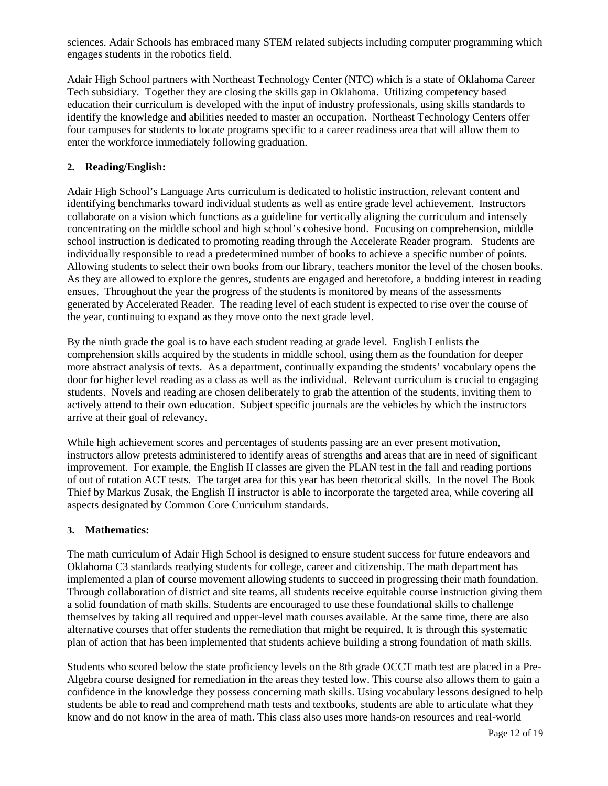sciences. Adair Schools has embraced many STEM related subjects including computer programming which engages students in the robotics field.

Adair High School partners with Northeast Technology Center (NTC) which is a state of Oklahoma Career Tech subsidiary. Together they are closing the skills gap in Oklahoma. Utilizing competency based education their curriculum is developed with the input of industry professionals, using skills standards to identify the knowledge and abilities needed to master an occupation. Northeast Technology Centers offer four campuses for students to locate programs specific to a career readiness area that will allow them to enter the workforce immediately following graduation.

#### **2. Reading/English:**

Adair High School's Language Arts curriculum is dedicated to holistic instruction, relevant content and identifying benchmarks toward individual students as well as entire grade level achievement. Instructors collaborate on a vision which functions as a guideline for vertically aligning the curriculum and intensely concentrating on the middle school and high school's cohesive bond. Focusing on comprehension, middle school instruction is dedicated to promoting reading through the Accelerate Reader program. Students are individually responsible to read a predetermined number of books to achieve a specific number of points. Allowing students to select their own books from our library, teachers monitor the level of the chosen books. As they are allowed to explore the genres, students are engaged and heretofore, a budding interest in reading ensues. Throughout the year the progress of the students is monitored by means of the assessments generated by Accelerated Reader. The reading level of each student is expected to rise over the course of the year, continuing to expand as they move onto the next grade level.

By the ninth grade the goal is to have each student reading at grade level. English I enlists the comprehension skills acquired by the students in middle school, using them as the foundation for deeper more abstract analysis of texts. As a department, continually expanding the students' vocabulary opens the door for higher level reading as a class as well as the individual. Relevant curriculum is crucial to engaging students. Novels and reading are chosen deliberately to grab the attention of the students, inviting them to actively attend to their own education. Subject specific journals are the vehicles by which the instructors arrive at their goal of relevancy.

While high achievement scores and percentages of students passing are an ever present motivation, instructors allow pretests administered to identify areas of strengths and areas that are in need of significant improvement. For example, the English II classes are given the PLAN test in the fall and reading portions of out of rotation ACT tests. The target area for this year has been rhetorical skills. In the novel The Book Thief by Markus Zusak, the English II instructor is able to incorporate the targeted area, while covering all aspects designated by Common Core Curriculum standards.

#### **3. Mathematics:**

The math curriculum of Adair High School is designed to ensure student success for future endeavors and Oklahoma C3 standards readying students for college, career and citizenship. The math department has implemented a plan of course movement allowing students to succeed in progressing their math foundation. Through collaboration of district and site teams, all students receive equitable course instruction giving them a solid foundation of math skills. Students are encouraged to use these foundational skills to challenge themselves by taking all required and upper-level math courses available. At the same time, there are also alternative courses that offer students the remediation that might be required. It is through this systematic plan of action that has been implemented that students achieve building a strong foundation of math skills.

Students who scored below the state proficiency levels on the 8th grade OCCT math test are placed in a Pre-Algebra course designed for remediation in the areas they tested low. This course also allows them to gain a confidence in the knowledge they possess concerning math skills. Using vocabulary lessons designed to help students be able to read and comprehend math tests and textbooks, students are able to articulate what they know and do not know in the area of math. This class also uses more hands-on resources and real-world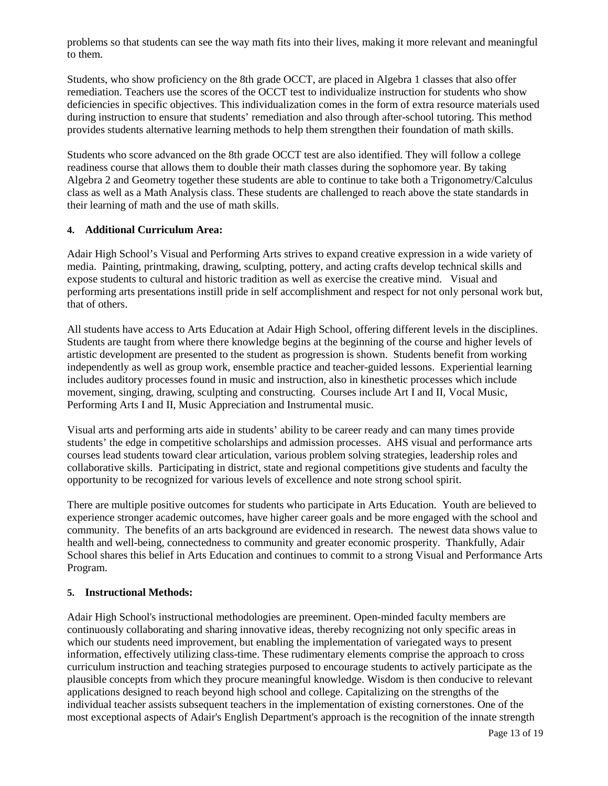problems so that students can see the way math fits into their lives, making it more relevant and meaningful to them.

Students, who show proficiency on the 8th grade OCCT, are placed in Algebra 1 classes that also offer remediation. Teachers use the scores of the OCCT test to individualize instruction for students who show deficiencies in specific objectives. This individualization comes in the form of extra resource materials used during instruction to ensure that students' remediation and also through after-school tutoring. This method provides students alternative learning methods to help them strengthen their foundation of math skills.

Students who score advanced on the 8th grade OCCT test are also identified. They will follow a college readiness course that allows them to double their math classes during the sophomore year. By taking Algebra 2 and Geometry together these students are able to continue to take both a Trigonometry/Calculus class as well as a Math Analysis class. These students are challenged to reach above the state standards in their learning of math and the use of math skills.

#### **4. Additional Curriculum Area:**

Adair High School's Visual and Performing Arts strives to expand creative expression in a wide variety of media. Painting, printmaking, drawing, sculpting, pottery, and acting crafts develop technical skills and expose students to cultural and historic tradition as well as exercise the creative mind. Visual and performing arts presentations instill pride in self accomplishment and respect for not only personal work but, that of others.

All students have access to Arts Education at Adair High School, offering different levels in the disciplines. Students are taught from where there knowledge begins at the beginning of the course and higher levels of artistic development are presented to the student as progression is shown. Students benefit from working independently as well as group work, ensemble practice and teacher-guided lessons. Experiential learning includes auditory processes found in music and instruction, also in kinesthetic processes which include movement, singing, drawing, sculpting and constructing. Courses include Art I and II, Vocal Music, Performing Arts I and II, Music Appreciation and Instrumental music.

Visual arts and performing arts aide in students' ability to be career ready and can many times provide students' the edge in competitive scholarships and admission processes. AHS visual and performance arts courses lead students toward clear articulation, various problem solving strategies, leadership roles and collaborative skills. Participating in district, state and regional competitions give students and faculty the opportunity to be recognized for various levels of excellence and note strong school spirit.

There are multiple positive outcomes for students who participate in Arts Education. Youth are believed to experience stronger academic outcomes, have higher career goals and be more engaged with the school and community. The benefits of an arts background are evidenced in research. The newest data shows value to health and well-being, connectedness to community and greater economic prosperity. Thankfully, Adair School shares this belief in Arts Education and continues to commit to a strong Visual and Performance Arts Program.

#### **5. Instructional Methods:**

Adair High School's instructional methodologies are preeminent. Open-minded faculty members are continuously collaborating and sharing innovative ideas, thereby recognizing not only specific areas in which our students need improvement, but enabling the implementation of variegated ways to present information, effectively utilizing class-time. These rudimentary elements comprise the approach to cross curriculum instruction and teaching strategies purposed to encourage students to actively participate as the plausible concepts from which they procure meaningful knowledge. Wisdom is then conducive to relevant applications designed to reach beyond high school and college. Capitalizing on the strengths of the individual teacher assists subsequent teachers in the implementation of existing cornerstones. One of the most exceptional aspects of Adair's English Department's approach is the recognition of the innate strength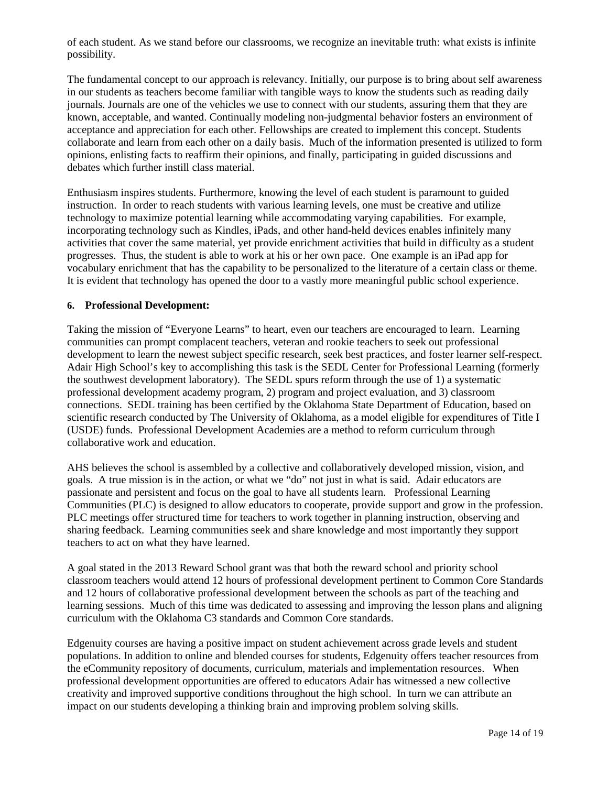of each student. As we stand before our classrooms, we recognize an inevitable truth: what exists is infinite possibility.

The fundamental concept to our approach is relevancy. Initially, our purpose is to bring about self awareness in our students as teachers become familiar with tangible ways to know the students such as reading daily journals. Journals are one of the vehicles we use to connect with our students, assuring them that they are known, acceptable, and wanted. Continually modeling non-judgmental behavior fosters an environment of acceptance and appreciation for each other. Fellowships are created to implement this concept. Students collaborate and learn from each other on a daily basis. Much of the information presented is utilized to form opinions, enlisting facts to reaffirm their opinions, and finally, participating in guided discussions and debates which further instill class material.

Enthusiasm inspires students. Furthermore, knowing the level of each student is paramount to guided instruction. In order to reach students with various learning levels, one must be creative and utilize technology to maximize potential learning while accommodating varying capabilities. For example, incorporating technology such as Kindles, iPads, and other hand-held devices enables infinitely many activities that cover the same material, yet provide enrichment activities that build in difficulty as a student progresses. Thus, the student is able to work at his or her own pace. One example is an iPad app for vocabulary enrichment that has the capability to be personalized to the literature of a certain class or theme. It is evident that technology has opened the door to a vastly more meaningful public school experience.

#### **6. Professional Development:**

Taking the mission of "Everyone Learns" to heart, even our teachers are encouraged to learn. Learning communities can prompt complacent teachers, veteran and rookie teachers to seek out professional development to learn the newest subject specific research, seek best practices, and foster learner self-respect. Adair High School's key to accomplishing this task is the SEDL Center for Professional Learning (formerly the southwest development laboratory). The SEDL spurs reform through the use of 1) a systematic professional development academy program, 2) program and project evaluation, and 3) classroom connections. SEDL training has been certified by the Oklahoma State Department of Education, based on scientific research conducted by The University of Oklahoma, as a model eligible for expenditures of Title I (USDE) funds. Professional Development Academies are a method to reform curriculum through collaborative work and education.

AHS believes the school is assembled by a collective and collaboratively developed mission, vision, and goals. A true mission is in the action, or what we "do" not just in what is said. Adair educators are passionate and persistent and focus on the goal to have all students learn. Professional Learning Communities (PLC) is designed to allow educators to cooperate, provide support and grow in the profession. PLC meetings offer structured time for teachers to work together in planning instruction, observing and sharing feedback. Learning communities seek and share knowledge and most importantly they support teachers to act on what they have learned.

A goal stated in the 2013 Reward School grant was that both the reward school and priority school classroom teachers would attend 12 hours of professional development pertinent to Common Core Standards and 12 hours of collaborative professional development between the schools as part of the teaching and learning sessions. Much of this time was dedicated to assessing and improving the lesson plans and aligning curriculum with the Oklahoma C3 standards and Common Core standards.

Edgenuity courses are having a positive impact on student achievement across grade levels and student populations. In addition to online and blended courses for students, Edgenuity offers teacher resources from the eCommunity repository of documents, curriculum, materials and implementation resources. When professional development opportunities are offered to educators Adair has witnessed a new collective creativity and improved supportive conditions throughout the high school. In turn we can attribute an impact on our students developing a thinking brain and improving problem solving skills.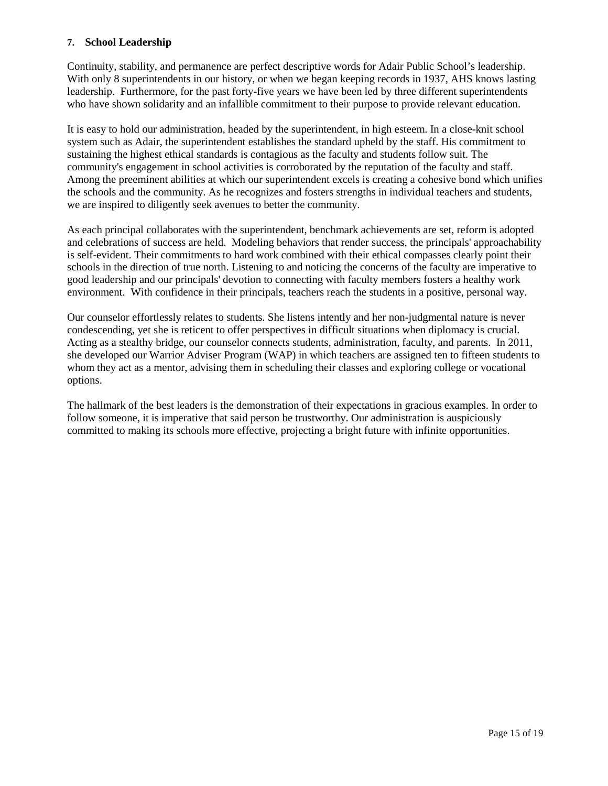#### **7. School Leadership**

Continuity, stability, and permanence are perfect descriptive words for Adair Public School's leadership. With only 8 superintendents in our history, or when we began keeping records in 1937, AHS knows lasting leadership. Furthermore, for the past forty-five years we have been led by three different superintendents who have shown solidarity and an infallible commitment to their purpose to provide relevant education.

It is easy to hold our administration, headed by the superintendent, in high esteem. In a close-knit school system such as Adair, the superintendent establishes the standard upheld by the staff. His commitment to sustaining the highest ethical standards is contagious as the faculty and students follow suit. The community's engagement in school activities is corroborated by the reputation of the faculty and staff. Among the preeminent abilities at which our superintendent excels is creating a cohesive bond which unifies the schools and the community. As he recognizes and fosters strengths in individual teachers and students, we are inspired to diligently seek avenues to better the community.

As each principal collaborates with the superintendent, benchmark achievements are set, reform is adopted and celebrations of success are held. Modeling behaviors that render success, the principals' approachability is self-evident. Their commitments to hard work combined with their ethical compasses clearly point their schools in the direction of true north. Listening to and noticing the concerns of the faculty are imperative to good leadership and our principals' devotion to connecting with faculty members fosters a healthy work environment. With confidence in their principals, teachers reach the students in a positive, personal way.

Our counselor effortlessly relates to students. She listens intently and her non-judgmental nature is never condescending, yet she is reticent to offer perspectives in difficult situations when diplomacy is crucial. Acting as a stealthy bridge, our counselor connects students, administration, faculty, and parents. In 2011, she developed our Warrior Adviser Program (WAP) in which teachers are assigned ten to fifteen students to whom they act as a mentor, advising them in scheduling their classes and exploring college or vocational options.

The hallmark of the best leaders is the demonstration of their expectations in gracious examples. In order to follow someone, it is imperative that said person be trustworthy. Our administration is auspiciously committed to making its schools more effective, projecting a bright future with infinite opportunities.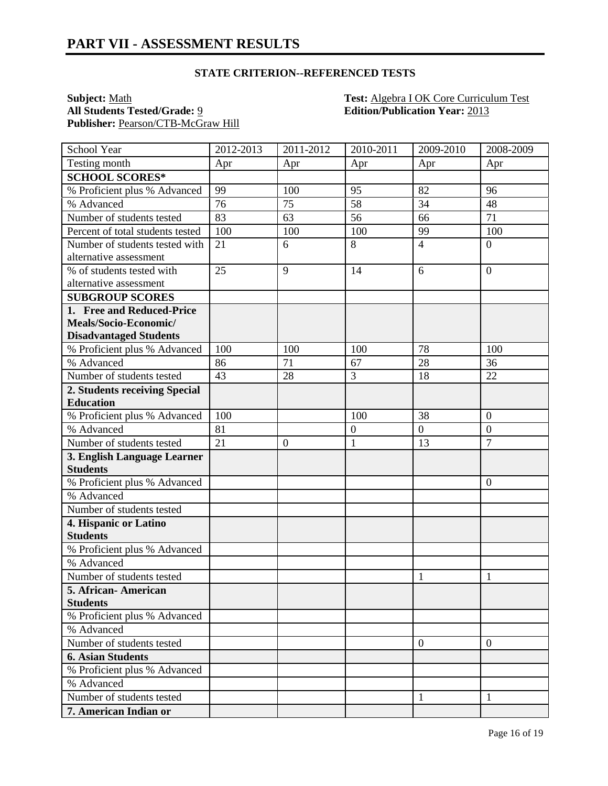#### **STATE CRITERION--REFERENCED TESTS**

Publisher: Pearson/CTB-McGraw Hill

**Subject:** <u>Math **Test:** Algebra I OK Core Curriculum Test</u><br> **All Students Tested/Grade:** <u>9</u> **Edition/Publication Year:** 2013 **Edition/Publication Year: 2013** 

| School Year                      | 2012-2013 | 2011-2012    | 2010-2011        | 2009-2010        | 2008-2009        |
|----------------------------------|-----------|--------------|------------------|------------------|------------------|
| Testing month                    | Apr       | Apr          | Apr              | Apr              | Apr              |
| <b>SCHOOL SCORES*</b>            |           |              |                  |                  |                  |
| % Proficient plus % Advanced     | 99        | 100          | 95               | 82               | 96               |
| % Advanced                       | 76        | 75           | 58               | 34               | 48               |
| Number of students tested        | 83        | 63           | 56               | 66               | 71               |
| Percent of total students tested | 100       | 100          | 100              | 99               | 100              |
| Number of students tested with   | 21        | 6            | 8                | $\overline{4}$   | $\overline{0}$   |
| alternative assessment           |           |              |                  |                  |                  |
| % of students tested with        | 25        | 9            | 14               | 6                | $\overline{0}$   |
| alternative assessment           |           |              |                  |                  |                  |
| <b>SUBGROUP SCORES</b>           |           |              |                  |                  |                  |
| 1. Free and Reduced-Price        |           |              |                  |                  |                  |
| Meals/Socio-Economic/            |           |              |                  |                  |                  |
| <b>Disadvantaged Students</b>    |           |              |                  |                  |                  |
| % Proficient plus % Advanced     | 100       | 100          | 100              | 78               | 100              |
| % Advanced                       | 86        | 71           | 67               | 28               | 36               |
| Number of students tested        | 43        | 28           | 3                | 18               | 22               |
| 2. Students receiving Special    |           |              |                  |                  |                  |
| <b>Education</b>                 |           |              |                  |                  |                  |
| % Proficient plus % Advanced     | 100       |              | 100              | 38               | $\boldsymbol{0}$ |
| % Advanced                       | 81        |              | $\boldsymbol{0}$ | $\boldsymbol{0}$ | $\overline{0}$   |
| Number of students tested        | 21        | $\mathbf{0}$ | $\mathbf{1}$     | 13               | $\overline{7}$   |
| 3. English Language Learner      |           |              |                  |                  |                  |
| <b>Students</b>                  |           |              |                  |                  |                  |
| % Proficient plus % Advanced     |           |              |                  |                  | $\boldsymbol{0}$ |
| % Advanced                       |           |              |                  |                  |                  |
| Number of students tested        |           |              |                  |                  |                  |
| 4. Hispanic or Latino            |           |              |                  |                  |                  |
| <b>Students</b>                  |           |              |                  |                  |                  |
| % Proficient plus % Advanced     |           |              |                  |                  |                  |
| % Advanced                       |           |              |                  |                  |                  |
| Number of students tested        |           |              |                  | 1                | 1                |
| 5. African-American              |           |              |                  |                  |                  |
| <b>Students</b>                  |           |              |                  |                  |                  |
| % Proficient plus % Advanced     |           |              |                  |                  |                  |
| % Advanced                       |           |              |                  |                  |                  |
| Number of students tested        |           |              |                  | $\theta$         | $\overline{0}$   |
| <b>6. Asian Students</b>         |           |              |                  |                  |                  |
| % Proficient plus % Advanced     |           |              |                  |                  |                  |
| % Advanced                       |           |              |                  |                  |                  |
| Number of students tested        |           |              |                  |                  | 1                |
| 7. American Indian or            |           |              |                  |                  |                  |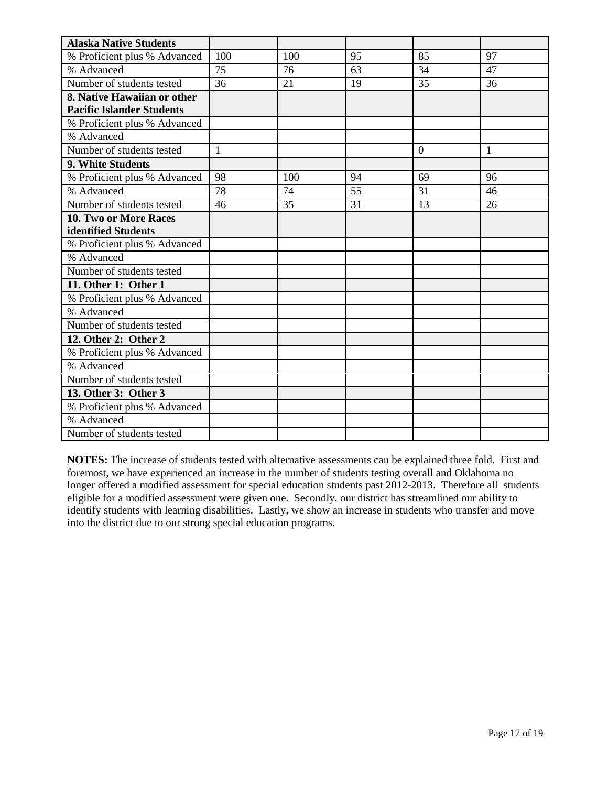| <b>Alaska Native Students</b>    |              |     |    |          |              |
|----------------------------------|--------------|-----|----|----------|--------------|
| % Proficient plus % Advanced     | 100          | 100 | 95 | 85       | 97           |
| % Advanced                       | 75           | 76  | 63 | 34       | 47           |
| Number of students tested        | 36           | 21  | 19 | 35       | 36           |
| 8. Native Hawaiian or other      |              |     |    |          |              |
| <b>Pacific Islander Students</b> |              |     |    |          |              |
| % Proficient plus % Advanced     |              |     |    |          |              |
| % Advanced                       |              |     |    |          |              |
| Number of students tested        | $\mathbf{1}$ |     |    | $\theta$ | $\mathbf{1}$ |
| 9. White Students                |              |     |    |          |              |
| % Proficient plus % Advanced     | 98           | 100 | 94 | 69       | 96           |
| % Advanced                       | 78           | 74  | 55 | 31       | 46           |
| Number of students tested        | 46           | 35  | 31 | 13       | 26           |
| <b>10. Two or More Races</b>     |              |     |    |          |              |
| identified Students              |              |     |    |          |              |
| % Proficient plus % Advanced     |              |     |    |          |              |
| % Advanced                       |              |     |    |          |              |
| Number of students tested        |              |     |    |          |              |
| 11. Other 1: Other 1             |              |     |    |          |              |
| % Proficient plus % Advanced     |              |     |    |          |              |
| % Advanced                       |              |     |    |          |              |
| Number of students tested        |              |     |    |          |              |
| 12. Other 2: Other 2             |              |     |    |          |              |
| % Proficient plus % Advanced     |              |     |    |          |              |
| % Advanced                       |              |     |    |          |              |
| Number of students tested        |              |     |    |          |              |
| 13. Other 3: Other 3             |              |     |    |          |              |
| % Proficient plus % Advanced     |              |     |    |          |              |
| % Advanced                       |              |     |    |          |              |
| Number of students tested        |              |     |    |          |              |

**NOTES:** The increase of students tested with alternative assessments can be explained three fold. First and foremost, we have experienced an increase in the number of students testing overall and Oklahoma no longer offered a modified assessment for special education students past 2012-2013. Therefore all students eligible for a modified assessment were given one. Secondly, our district has streamlined our ability to identify students with learning disabilities. Lastly, we show an increase in students who transfer and move into the district due to our strong special education programs.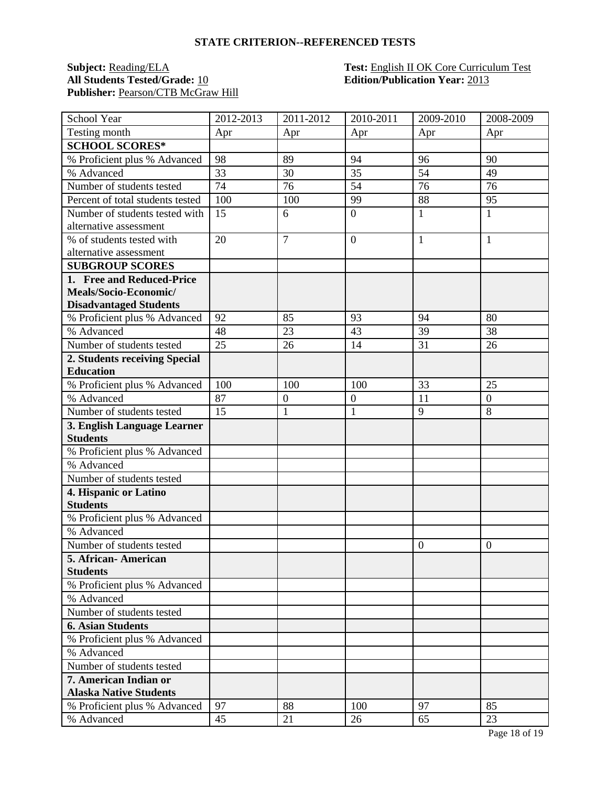#### **STATE CRITERION--REFERENCED TESTS**

## **Subject:** <u>Reading/ELA</u><br>All Students Tested/Grade: 10</u> Publisher: Pearson/CTB McGraw Hill

# **Test: English II OK Core Curriculum Test<br>Edition/Publication Year: 2013**

| School Year                      | 2012-2013 | 2011-2012      | 2010-2011        | 2009-2010      | 2008-2009      |
|----------------------------------|-----------|----------------|------------------|----------------|----------------|
| Testing month                    | Apr       | Apr            | Apr              | Apr            | Apr            |
| <b>SCHOOL SCORES*</b>            |           |                |                  |                |                |
| % Proficient plus % Advanced     | 98        | 89             | 94               | 96             | 90             |
| % Advanced                       | 33        | 30             | 35               | 54             | 49             |
| Number of students tested        | 74        | 76             | 54               | 76             | 76             |
| Percent of total students tested | 100       | 100            | 99               | 88             | 95             |
| Number of students tested with   | 15        | 6              | $\boldsymbol{0}$ | 1              | $\mathbf{1}$   |
| alternative assessment           |           |                |                  |                |                |
| % of students tested with        | 20        | $\overline{7}$ | $\overline{0}$   | $\mathbf{1}$   | $\mathbf{1}$   |
| alternative assessment           |           |                |                  |                |                |
| <b>SUBGROUP SCORES</b>           |           |                |                  |                |                |
| 1. Free and Reduced-Price        |           |                |                  |                |                |
| Meals/Socio-Economic/            |           |                |                  |                |                |
| <b>Disadvantaged Students</b>    |           |                |                  |                |                |
| % Proficient plus % Advanced     | 92        | 85             | 93               | 94             | 80             |
| % Advanced                       | 48        | 23             | 43               | 39             | 38             |
| Number of students tested        | 25        | 26             | 14               | 31             | 26             |
| 2. Students receiving Special    |           |                |                  |                |                |
| <b>Education</b>                 |           |                |                  |                |                |
| % Proficient plus % Advanced     | 100       | 100            | 100              | 33             | 25             |
| % Advanced                       | 87        | $\mathbf{0}$   | $\overline{0}$   | 11             | $\overline{0}$ |
| Number of students tested        | 15        | $\mathbf{1}$   | $\mathbf{1}$     | 9              | 8              |
| 3. English Language Learner      |           |                |                  |                |                |
| <b>Students</b>                  |           |                |                  |                |                |
| % Proficient plus % Advanced     |           |                |                  |                |                |
| % Advanced                       |           |                |                  |                |                |
| Number of students tested        |           |                |                  |                |                |
| 4. Hispanic or Latino            |           |                |                  |                |                |
| <b>Students</b>                  |           |                |                  |                |                |
| % Proficient plus % Advanced     |           |                |                  |                |                |
| % Advanced                       |           |                |                  |                |                |
| Number of students tested        |           |                |                  | $\overline{0}$ | $\overline{0}$ |
| 5. African- American             |           |                |                  |                |                |
| <b>Students</b>                  |           |                |                  |                |                |
| % Proficient plus % Advanced     |           |                |                  |                |                |
| % Advanced                       |           |                |                  |                |                |
| Number of students tested        |           |                |                  |                |                |
| <b>6. Asian Students</b>         |           |                |                  |                |                |
| % Proficient plus % Advanced     |           |                |                  |                |                |
| % Advanced                       |           |                |                  |                |                |
| Number of students tested        |           |                |                  |                |                |
| 7. American Indian or            |           |                |                  |                |                |
| <b>Alaska Native Students</b>    |           |                |                  |                |                |
| % Proficient plus % Advanced     | 97        | 88             | 100              | 97             | 85             |
| % Advanced                       | 45        | 21             | 26               | 65             | 23             |